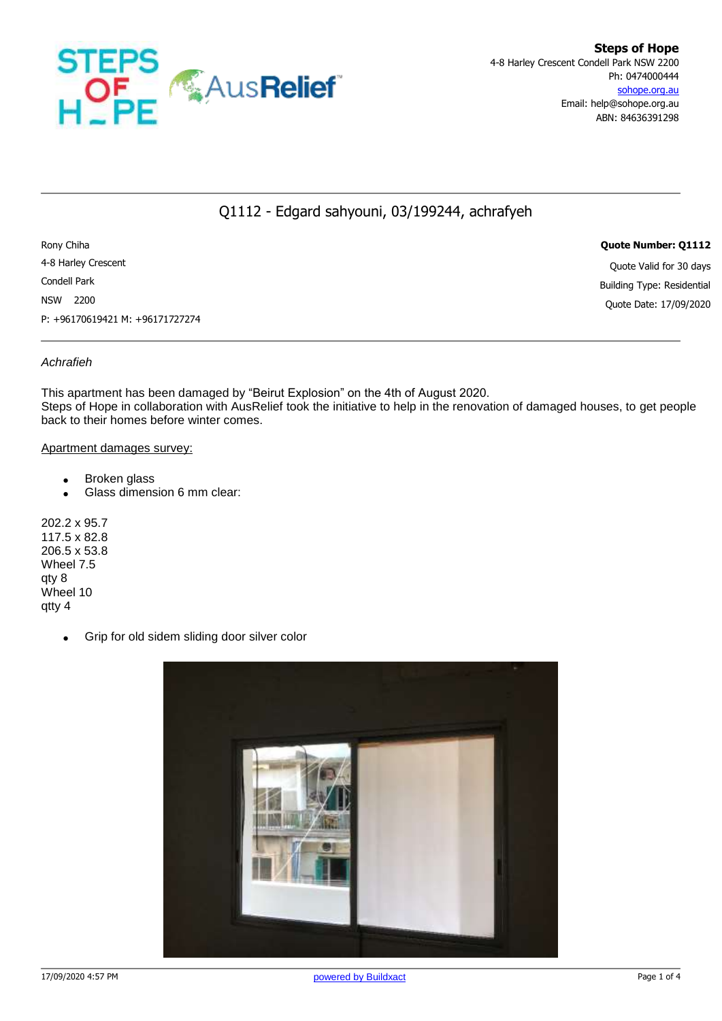

## Q1112 - Edgard sahyouni, 03/199244, achrafyeh

Rony Chiha **Quote Number: Q1112** 4-8 Harley Crescent Quote Valid for 30 days Condell Park Building Type: Residential NSW 2200 Quote Date: 17/09/2020 P: +96170619421 M: +96171727274

### *Achrafieh*

This apartment has been damaged by "Beirut Explosion" on the 4th of August 2020. Steps of Hope in collaboration with AusRelief took the initiative to help in the renovation of damaged houses, to get people back to their homes before winter comes.

#### Apartment damages survey:

- Broken glass
- Glass dimension 6 mm clear:

202.2 x 95.7 117.5 x 82.8 206.5 x 53.8 Wheel 7.5 qty 8 Wheel 10 qtty 4

Grip for old sidem sliding door silver color

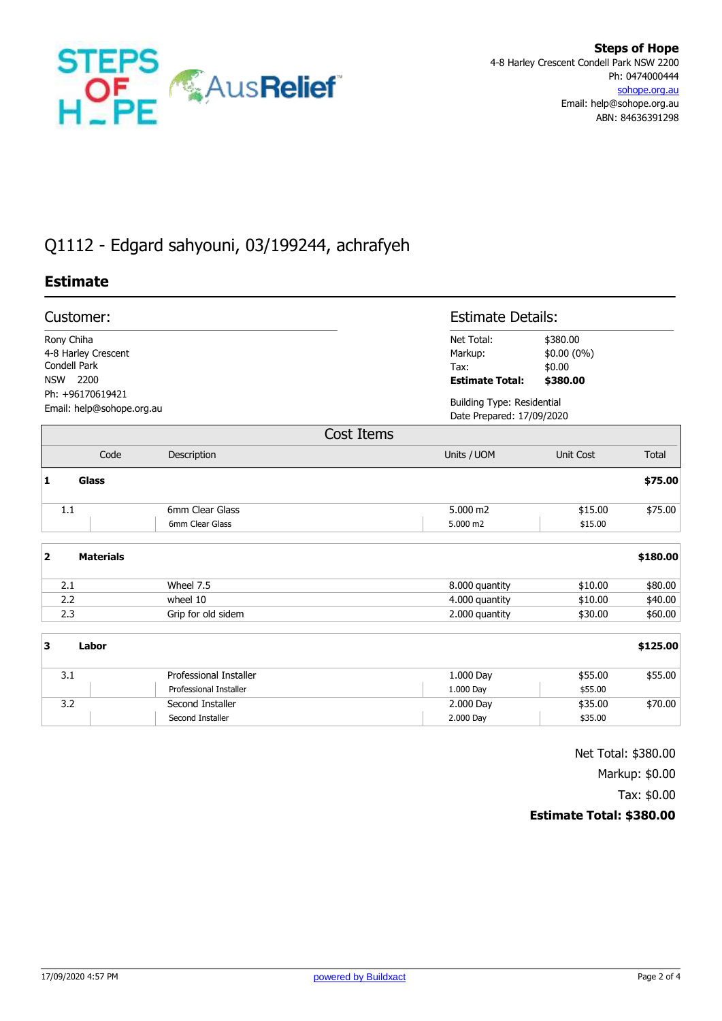

# Q1112 - Edgard sahyouni, 03/199244, achrafyeh

## **Estimate**

| <b>Estimate Details:</b>                                       |  |  |
|----------------------------------------------------------------|--|--|
| \$380.00<br>Net Total:                                         |  |  |
| Markup:<br>$$0.00(0\%)$                                        |  |  |
| \$0.00                                                         |  |  |
| <b>Estimate Total:</b><br>\$380.00                             |  |  |
| <b>Building Type: Residential</b><br>Date Prepared: 17/09/2020 |  |  |
|                                                                |  |  |
| Units / UOM<br>Total<br>Unit Cost                              |  |  |
| \$75.00                                                        |  |  |
| \$75.00<br>5.000 m2<br>\$15.00                                 |  |  |
| 5.000 m2<br>\$15.00                                            |  |  |
|                                                                |  |  |

| <b>Materials</b><br>2 |                    |                |         | \$180.00 |
|-----------------------|--------------------|----------------|---------|----------|
| 2.1                   | Wheel 7.5          | 8.000 quantity | \$10.00 | \$80.00  |
| 2.2                   | wheel 10           | 4.000 quantity | \$10.00 | \$40.00  |
| 2.3                   | Grip for old sidem | 2.000 quantity | \$30.00 | \$60.00  |

| з   | Labor                  |           | \$125.00           |
|-----|------------------------|-----------|--------------------|
| 3.1 | Professional Installer | 1.000 Day | \$55.00<br>\$55.00 |
|     | Professional Installer | 1.000 Day | \$55.00            |
| 3.2 | Second Installer       | 2.000 Day | \$70.00<br>\$35.00 |
|     | Second Installer       | 2.000 Day | \$35.00            |

Net Total: \$380.00 Markup: \$0.00 Tax: \$0.00

## **Estimate Total: \$380.00**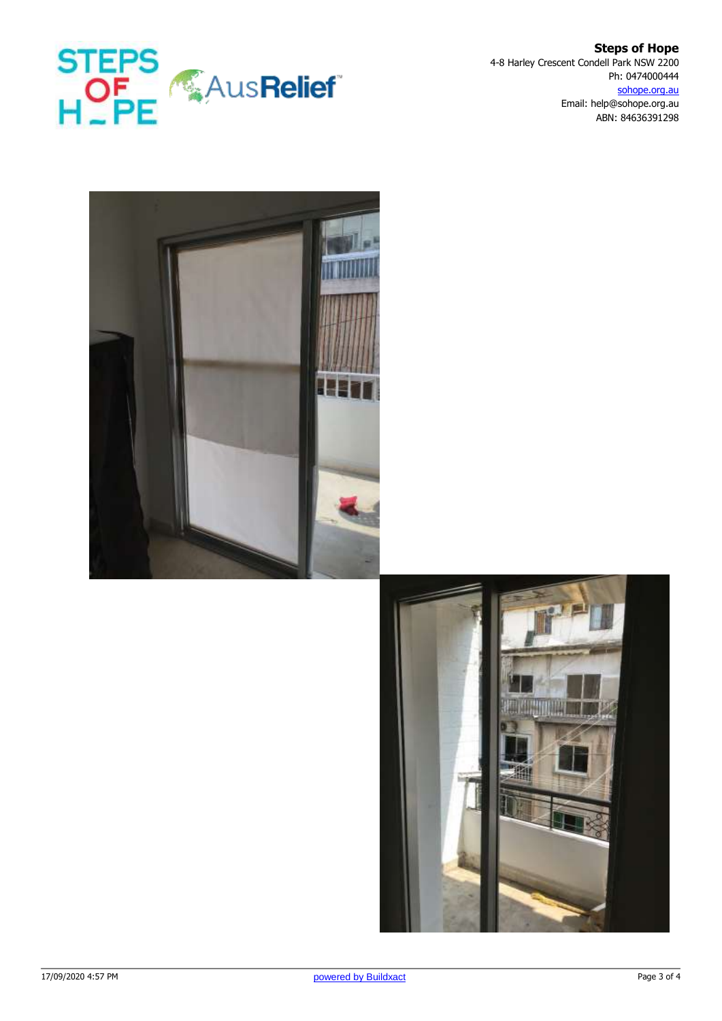

**Steps of Hope** 4-8 Harley Crescent Condell Park NSW 2200 Ph: 0474000444 sohope.org.au Email: help@sohope.org.au ABN: 84636391298



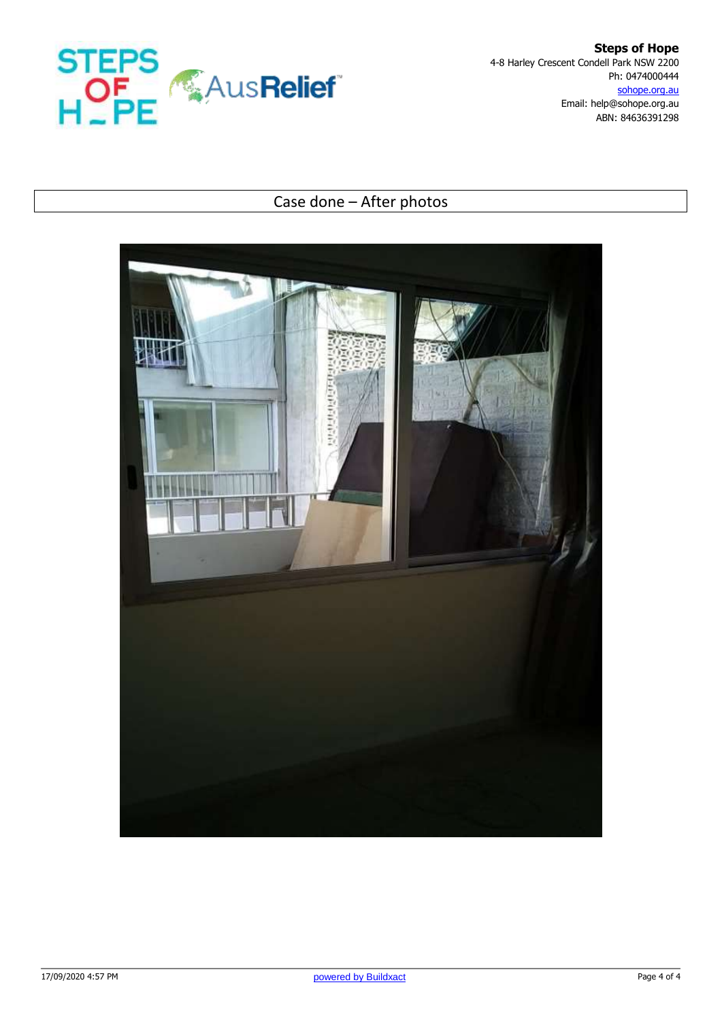

**Steps of Hope** 4-8 Harley Crescent Condell Park NSW 2200 Ph: 0474000444 sohope.org.au Email: help@sohope.org.au ABN: 84636391298

## Case done – After photos